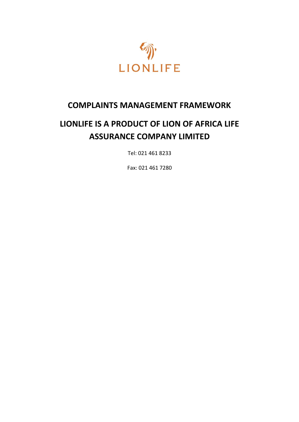

## **COMPLAINTS MANAGEMENT FRAMEWORK**

# **LIONLIFE IS A PRODUCT OF LION OF AFRICA LIFE ASSURANCE COMPANY LIMITED**

Tel: 021 461 8233

Fax: 021 461 7280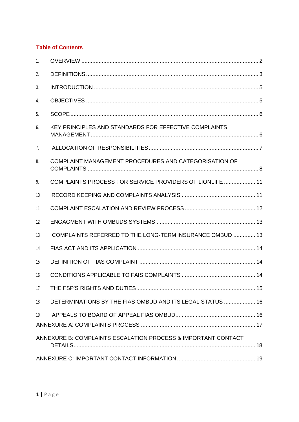## **Table of Contents**

| 1.  |                                                               |  |
|-----|---------------------------------------------------------------|--|
| 2.  |                                                               |  |
| 3.  |                                                               |  |
| 4.  |                                                               |  |
| 5.  |                                                               |  |
| 6.  | KEY PRINCIPLES AND STANDARDS FOR EFFECTIVE COMPLAINTS         |  |
| 7.  |                                                               |  |
| 8.  | COMPLAINT MANAGEMENT PROCEDURES AND CATEGORISATION OF         |  |
| 9.  | COMPLAINTS PROCESS FOR SERVICE PROVIDERS OF LIONLIFE  11      |  |
| 10. |                                                               |  |
| 11. |                                                               |  |
| 12. |                                                               |  |
| 13. | COMPLAINTS REFERRED TO THE LONG-TERM INSURANCE OMBUD  13      |  |
| 14. |                                                               |  |
| 15. |                                                               |  |
| 16. |                                                               |  |
| 17. |                                                               |  |
| 18. | DETERMINATIONS BY THE FIAS OMBUD AND ITS LEGAL STATUS  16     |  |
| 19. |                                                               |  |
|     |                                                               |  |
|     | ANNEXURE B: COMPLAINTS ESCALATION PROCESS & IMPORTANT CONTACT |  |
|     |                                                               |  |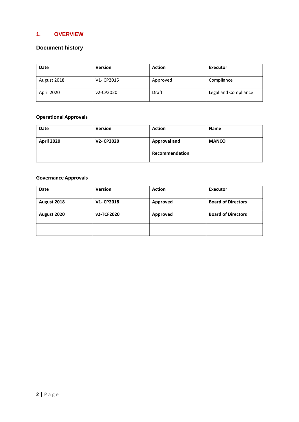## <span id="page-2-0"></span>**1. OVERVIEW**

## **Document history**

| Date        | <b>Version</b> | <b>Action</b> | Executor             |
|-------------|----------------|---------------|----------------------|
| August 2018 | V1- CP2015     | Approved      | Compliance           |
| April 2020  | v2-CP2020      | Draft         | Legal and Compliance |

## **Operational Approvals**

| <b>Date</b> | <b>Version</b>   | <b>Action</b>       | <b>Name</b>  |
|-------------|------------------|---------------------|--------------|
| April 2020  | <b>V2-CP2020</b> | <b>Approval and</b> | <b>MANCO</b> |
|             |                  | Recommendation      |              |

#### **Governance Approvals**

| Date        | <b>Version</b> | <b>Action</b> | Executor                  |
|-------------|----------------|---------------|---------------------------|
| August 2018 | V1-CP2018      | Approved      | <b>Board of Directors</b> |
| August 2020 | v2-TCF2020     | Approved      | <b>Board of Directors</b> |
|             |                |               |                           |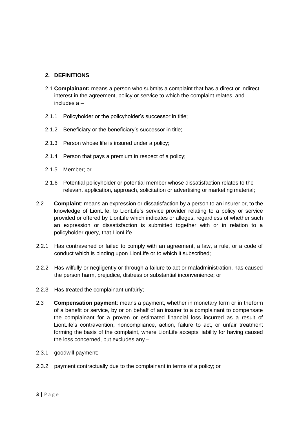#### <span id="page-3-0"></span>**2. DEFINITIONS**

- 2.1 **Complainant:** means a person who submits a complaint that has a direct or indirect interest in the agreement, policy or service to which the complaint relates, and includes a –
- 2.1.1 Policyholder or the policyholder's successor in title;
- 2.1.2 Beneficiary or the beneficiary's successor in title;
- 2.1.3 Person whose life is insured under a policy;
- 2.1.4 Person that pays a premium in respect of a policy;
- 2.1.5 Member; or
- 2.1.6 Potential policyholder or potential member whose dissatisfaction relates to the relevant application, approach, solicitation or advertising or marketing material;
- 2.2 **Complaint**: means an expression or dissatisfaction by a person to an insurer or, to the knowledge of LionLife, to LionLife's service provider relating to a policy or service provided or offered by LionLife which indicates or alleges, regardless of whether such an expression or dissatisfaction is submitted together with or in relation to a policyholder query, that LionLife -
- 2.2.1 Has contravened or failed to comply with an agreement, a law, a rule, or a code of conduct which is binding upon LionLife or to which it subscribed;
- 2.2.2 Has wilfully or negligently or through a failure to act or maladministration, has caused the person harm, prejudice, distress or substantial inconvenience; or
- 2.2.3 Has treated the complainant unfairly;
- 2.3 **Compensation payment**: means a payment, whether in monetary form or in theform of a benefit or service, by or on behalf of an insurer to a complainant to compensate the complainant for a proven or estimated financial loss incurred as a result of LionLife's contravention, noncompliance, action, failure to act, or unfair treatment forming the basis of the complaint, where LionLife accepts liability for having caused the loss concerned, but excludes any –
- 2.3.1 goodwill payment;
- 2.3.2 payment contractually due to the complainant in terms of a policy; or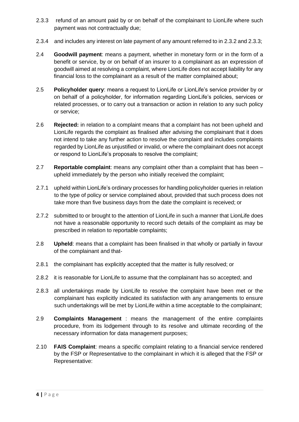- 2.3.3 refund of an amount paid by or on behalf of the complainant to LionLife where such payment was not contractually due;
- 2.3.4 and includes any interest on late payment of any amount referred to in 2.3.2 and 2.3.3;
- 2.4 **Goodwill payment**: means a payment, whether in monetary form or in the form of a benefit or service, by or on behalf of an insurer to a complainant as an expression of goodwill aimed at resolving a complaint, where LionLife does not accept liability for any financial loss to the complainant as a result of the matter complained about;
- 2.5 **Policyholder query**: means a request to LionLife or LionLife's service provider by or on behalf of a policyholder, for information regarding LionLife's policies, services or related processes, or to carry out a transaction or action in relation to any such policy or service;
- 2.6 **Rejected:** in relation to a complaint means that a complaint has not been upheld and LionLife regards the complaint as finalised after advising the complainant that it does not intend to take any further action to resolve the complaint and includes complaints regarded by LionLife as unjustified or invalid, or where the complainant does not accept or respond to LionLife's proposals to resolve the complaint;
- 2.7 **Reportable complaint**: means any complaint other than a complaint that has been upheld immediately by the person who initially received the complaint;
- 2.7.1 upheld within LionLife's ordinary processes for handling policyholder queries in relation to the type of policy or service complained about, provided that such process does not take more than five business days from the date the complaint is received; or
- 2.7.2 submitted to or brought to the attention of LionLife in such a manner that LionLife does not have a reasonable opportunity to record such details of the complaint as may be prescribed in relation to reportable complaints;
- 2.8 **Upheld**: means that a complaint has been finalised in that wholly or partially in favour of the complainant and that-
- 2.8.1 the complainant has explicitly accepted that the matter is fully resolved; or
- 2.8.2 it is reasonable for LionLife to assume that the complainant has so accepted; and
- 2.8.3 all undertakings made by LionLife to resolve the complaint have been met or the complainant has explicitly indicated its satisfaction with any arrangements to ensure such undertakings will be met by LionLife within a time acceptable to the complainant;
- 2.9 **Complaints Management** : means the management of the entire complaints procedure, from its lodgement through to its resolve and ultimate recording of the necessary information for data management purposes;
- 2.10 **FAIS Complaint**: means a specific complaint relating to a financial service rendered by the FSP or Representative to the complainant in which it is alleged that the FSP or Representative: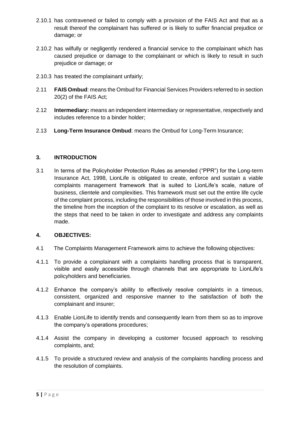- 2.10.1 has contravened or failed to comply with a provision of the FAIS Act and that as a result thereof the complainant has suffered or is likely to suffer financial prejudice or damage; or
- 2.10.2 has wilfully or negligently rendered a financial service to the complainant which has caused prejudice or damage to the complainant or which is likely to result in such prejudice or damage; or
- 2.10.3 has treated the complainant unfairly;
- 2.11 **FAIS Ombud**: means the Ombud for Financial Services Providers referred to in section 20(2) of the FAIS Act;
- 2.12 **Intermediary:** means an independent intermediary or representative, respectively and includes reference to a binder holder;
- 2.13 **Long-Term Insurance Ombud**: means the Ombud for Long-Term Insurance;

#### <span id="page-5-0"></span>**3. INTRODUCTION**

3.1 In terms of the Policyholder Protection Rules as amended ("PPR") for the Long-term Insurance Act, 1998, LionLife is obligated to create, enforce and sustain a viable complaints management framework that is suited to LionLife's scale, nature of business, clientele and complexities. This framework must set out the entire life cycle of the complaint process, including the responsibilities of those involved in this process, the timeline from the inception of the complaint to its resolve or escalation, as well as the steps that need to be taken in order to investigate and address any complaints made.

#### <span id="page-5-1"></span>**4. OBJECTIVES:**

- 4.1 The Complaints Management Framework aims to achieve the following objectives:
- 4.1.1 To provide a complainant with a complaints handling process that is transparent, visible and easily accessible through channels that are appropriate to LionLife's policyholders and beneficiaries.
- 4.1.2 Enhance the company's ability to effectively resolve complaints in a timeous, consistent, organized and responsive manner to the satisfaction of both the complainant and insurer;
- 4.1.3 Enable LionLife to identify trends and consequently learn from them so as to improve the company's operations procedures;
- 4.1.4 Assist the company in developing a customer focused approach to resolving complaints, and;
- 4.1.5 To provide a structured review and analysis of the complaints handling process and the resolution of complaints.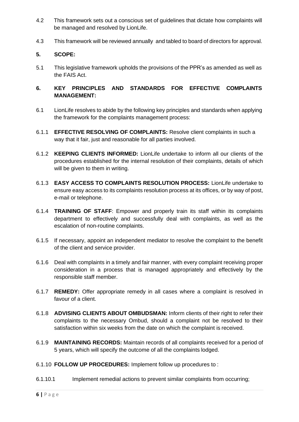- 4.2 This framework sets out a conscious set of guidelines that dictate how complaints will be managed and resolved by LionLife.
- 4.3 This framework will be reviewed annually and tabled to board of directors for approval.

#### <span id="page-6-0"></span>**5. SCOPE:**

5.1 This legislative framework upholds the provisions of the PPR's as amended as well as the FAIS Act.

#### <span id="page-6-1"></span>**6. KEY PRINCIPLES AND STANDARDS FOR EFFECTIVE COMPLAINTS MANAGEMENT:**

- 6.1 LionLife resolves to abide by the following key principles and standards when applying the framework for the complaints management process:
- 6.1.1 **EFFECTIVE RESOLVING OF COMPLAINTS:** Resolve client complaints in such a way that it fair, just and reasonable for all parties involved.
- 6.1.2 **KEEPING CLIENTS INFORMED:** LionLife undertake to inform all our clients of the procedures established for the internal resolution of their complaints, details of which will be given to them in writing.
- 6.1.3 **EASY ACCESS TO COMPLAINTS RESOLUTION PROCESS:** LionLife undertake to ensure easy access to its complaints resolution process at its offices, or by way of post, e-mail or telephone.
- 6.1.4 **TRAINING OF STAFF**: Empower and properly train its staff within its complaints department to effectively and successfully deal with complaints, as well as the escalation of non-routine complaints.
- 6.1.5 If necessary, appoint an independent mediator to resolve the complaint to the benefit of the client and service provider.
- 6.1.6 Deal with complaints in a timely and fair manner, with every complaint receiving proper consideration in a process that is managed appropriately and effectively by the responsible staff member.
- 6.1.7 **REMEDY:** Offer appropriate remedy in all cases where a complaint is resolved in favour of a client.
- 6.1.8 **ADVISING CLIENTS ABOUT OMBUDSMAN:** Inform clients of their right to refer their complaints to the necessary Ombud, should a complaint not be resolved to their satisfaction within six weeks from the date on which the complaint is received.
- 6.1.9 **MAINTAINING RECORDS:** Maintain records of all complaints received for a period of 5 years, which will specify the outcome of all the complaints lodged.
- 6.1.10 **FOLLOW UP PROCEDURES:** Implement follow up procedures to :
- 6.1.10.1 Implement remedial actions to prevent similar complaints from occurring;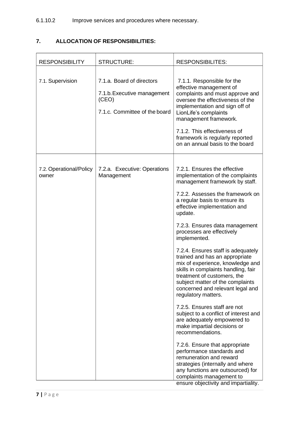## <span id="page-7-0"></span>**7. ALLOCATION OF RESPONSIBILITIES:**

| <b>RESPONSIBILITY</b>            | <b>STRUCTURE:</b>                                                                                  | <b>RESPONSIBILITES:</b>                                                                                                                                                                                                                                                                                                                                                                                                                                                                                                                                                                                                                                                                                                                                                                                                                                                                                                                                                              |
|----------------------------------|----------------------------------------------------------------------------------------------------|--------------------------------------------------------------------------------------------------------------------------------------------------------------------------------------------------------------------------------------------------------------------------------------------------------------------------------------------------------------------------------------------------------------------------------------------------------------------------------------------------------------------------------------------------------------------------------------------------------------------------------------------------------------------------------------------------------------------------------------------------------------------------------------------------------------------------------------------------------------------------------------------------------------------------------------------------------------------------------------|
| 7.1. Supervision                 | 7.1.a. Board of directors<br>7.1.b. Executive management<br>(CEO)<br>7.1.c. Committee of the board | 7.1.1. Responsible for the<br>effective management of<br>complaints and must approve and<br>oversee the effectiveness of the<br>implementation and sign off of<br>LionLife's complaints<br>management framework.<br>7.1.2. This effectiveness of<br>framework is regularly reported<br>on an annual basis to the board                                                                                                                                                                                                                                                                                                                                                                                                                                                                                                                                                                                                                                                               |
| 7.2. Operational/Policy<br>owner | 7.2.a. Executive: Operations<br>Management                                                         | 7.2.1. Ensures the effective<br>implementation of the complaints<br>management framework by staff.<br>7.2.2. Assesses the framework on<br>a regular basis to ensure its<br>effective implementation and<br>update.<br>7.2.3. Ensures data management<br>processes are effectively<br>implemented.<br>7.2.4. Ensures staff is adequately<br>trained and has an appropriate<br>mix of experience, knowledge and<br>skills in complaints handling, fair<br>treatment of customers, the<br>subject matter of the complaints<br>concerned and relevant legal and<br>regulatory matters.<br>7.2.5. Ensures staff are not<br>subject to a conflict of interest and<br>are adequately empowered to<br>make impartial decisions or<br>recommendations.<br>7.2.6. Ensure that appropriate<br>performance standards and<br>remuneration and reward<br>strategies (internally and where<br>any functions are outsourced) for<br>complaints management to<br>ensure objectivity and impartiality. |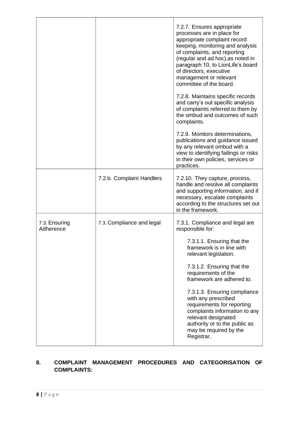|                            |                           | 7.2.7. Ensures appropriate<br>processes are in place for<br>appropriate complaint record<br>keeping, monitoring and analysis<br>of complaints, and reporting<br>(regular and ad hoc), as noted in<br>paragraph 10, to LionLife's board<br>of directors, executive<br>management or relevant<br>committee of the board.<br>7.2.8. Maintains specific records<br>and carry's out specific analysis<br>of complaints referred to them by |
|----------------------------|---------------------------|---------------------------------------------------------------------------------------------------------------------------------------------------------------------------------------------------------------------------------------------------------------------------------------------------------------------------------------------------------------------------------------------------------------------------------------|
|                            |                           | the ombud and outcomes of such<br>complaints.                                                                                                                                                                                                                                                                                                                                                                                         |
|                            |                           | 7.2.9. Monitors determinations,<br>publications and guidance issued<br>by any relevant ombud with a<br>view to identifying failings or risks<br>in their own policies, services or<br>practices.                                                                                                                                                                                                                                      |
|                            | 7.2.b. Complaint Handlers | 7.2.10. They capture, process,<br>handle and resolve all complaints<br>and supporting information, and if<br>necessary, escalate complaints<br>according to the structures set out<br>in the framework.                                                                                                                                                                                                                               |
| 7.3. Ensuring<br>Adherence | 7.3. Compliance and legal | 7.3.1. Compliance and legal are<br>responsible for:                                                                                                                                                                                                                                                                                                                                                                                   |
|                            |                           | 7.3.1.1. Ensuring that the<br>framework is in line with<br>relevant legislation.                                                                                                                                                                                                                                                                                                                                                      |
|                            |                           | 7.3.1.2. Ensuring that the<br>requirements of the<br>framework are adhered to.                                                                                                                                                                                                                                                                                                                                                        |
|                            |                           | 7.3.1.3. Ensuring compliance<br>with any prescribed<br>requirements for reporting<br>complaints information to any<br>relevant designated<br>authority or to the public as<br>may be required by the<br>Registrar.                                                                                                                                                                                                                    |

## <span id="page-8-0"></span>**8. COMPLAINT MANAGEMENT PROCEDURES AND CATEGORISATION OF COMPLAINTS:**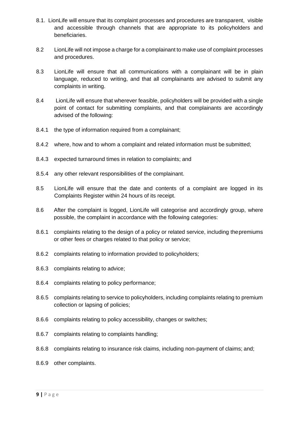- 8.1. LionLife will ensure that its complaint processes and procedures are transparent, visible and accessible through channels that are appropriate to its policyholders and beneficiaries.
- 8.2 LionLife will not impose a charge for a complainant to make use of complaint processes and procedures.
- 8.3 LionLife will ensure that all communications with a complainant will be in plain language, reduced to writing, and that all complainants are advised to submit any complaints in writing.
- 8.4 LionLife will ensure that wherever feasible, policyholders will be provided with a single point of contact for submitting complaints, and that complainants are accordingly advised of the following:
- 8.4.1 the type of information required from a complainant;
- 8.4.2 where, how and to whom a complaint and related information must be submitted;
- 8.4.3 expected turnaround times in relation to complaints; and
- 8.5.4 any other relevant responsibilities of the complainant.
- 8.5 LionLife will ensure that the date and contents of a complaint are logged in its Complaints Register within 24 hours of its receipt.
- 8.6 After the complaint is logged, LionLife will categorise and accordingly group, where possible, the complaint in accordance with the following categories:
- 8.6.1 complaints relating to the design of a policy or related service, including thepremiums or other fees or charges related to that policy or service;
- 8.6.2 complaints relating to information provided to policyholders;
- 8.6.3 complaints relating to advice;
- 8.6.4 complaints relating to policy performance;
- 8.6.5 complaints relating to service to policyholders, including complaints relating to premium collection or lapsing of policies;
- 8.6.6 complaints relating to policy accessibility, changes or switches;
- 8.6.7 complaints relating to complaints handling;
- 8.6.8 complaints relating to insurance risk claims, including non-payment of claims; and;
- 8.6.9 other complaints.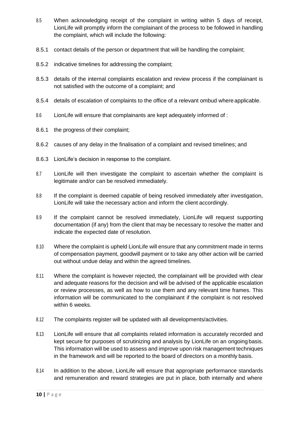- 8.5 When acknowledging receipt of the complaint in writing within 5 days of receipt, LionLife will promptly inform the complainant of the process to be followed in handling the complaint, which will include the following:
- 8.5.1 contact details of the person or department that will be handling the complaint;
- 8.5.2 indicative timelines for addressing the complaint;
- 8.5.3 details of the internal complaints escalation and review process if the complainant is not satisfied with the outcome of a complaint; and
- 8.5.4 details of escalation of complaints to the office of a relevant ombud where applicable.
- 8.6 LionLife will ensure that complainants are kept adequately informed of :
- 8.6.1 the progress of their complaint;
- 8.6.2 causes of any delay in the finalisation of a complaint and revised timelines; and
- 8.6.3 LionLife's decision in response to the complaint.
- 8.7 LionLife will then investigate the complaint to ascertain whether the complaint is legitimate and/or can be resolved immediately.
- 8.8 If the complaint is deemed capable of being resolved immediately after investigation, LionLife will take the necessary action and inform the client accordingly.
- 8.9 If the complaint cannot be resolved immediately, LionLife will request supporting documentation (if any) from the client that may be necessary to resolve the matter and indicate the expected date of resolution.
- 8.10 Where the complaint is upheld LionLife will ensure that any commitment made in terms of compensation payment, goodwill payment or to take any other action will be carried out without undue delay and within the agreed timelines.
- 8.11 Where the complaint is however rejected, the complainant will be provided with clear and adequate reasons for the decision and will be advised of the applicable escalation or review processes, as well as how to use them and any relevant time frames. This information will be communicated to the complainant if the complaint is not resolved within 6 weeks.
- 8.12 The complaints register will be updated with all developments/activities.
- 8.13 LionLife will ensure that all complaints related information is accurately recorded and kept secure for purposes of scrutinizing and analysis by LionLife on an ongoing basis. This information will be used to assess and improve upon risk management techniques in the framework and will be reported to the board of directors on a monthly basis.
- 8.14 In addition to the above, LionLife will ensure that appropriate performance standards and remuneration and reward strategies are put in place, both internally and where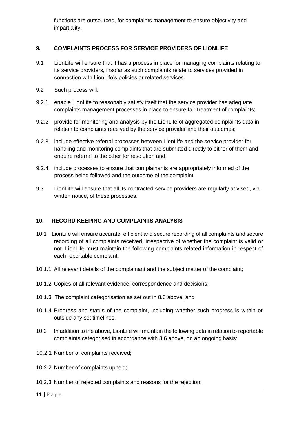functions are outsourced, for complaints management to ensure objectivity and impartiality.

#### <span id="page-11-0"></span>**9. COMPLAINTS PROCESS FOR SERVICE PROVIDERS OF LIONLIFE**

- 9.1 LionLife will ensure that it has a process in place for managing complaints relating to its service providers, insofar as such complaints relate to services provided in connection with LionLife's policies or related services.
- 9.2 Such process will:
- 9.2.1 enable LionLife to reasonably satisfy itself that the service provider has adequate complaints management processes in place to ensure fair treatment of complaints;
- 9.2.2 provide for monitoring and analysis by the LionLife of aggregated complaints data in relation to complaints received by the service provider and their outcomes;
- 9.2.3 include effective referral processes between LionLife and the service provider for handling and monitoring complaints that are submitted directly to either of them and enquire referral to the other for resolution and;
- 9.2.4 include processes to ensure that complainants are appropriately informed of the process being followed and the outcome of the complaint.
- 9.3 LionLife will ensure that all its contracted service providers are regularly advised, via written notice, of these processes.

#### <span id="page-11-1"></span>**10. RECORD KEEPING AND COMPLAINTS ANALYSIS**

- 10.1 LionLife will ensure accurate, efficient and secure recording of all complaints and secure recording of all complaints received, irrespective of whether the complaint is valid or not. LionLife must maintain the following complaints related information in respect of each reportable complaint:
- 10.1.1 All relevant details of the complainant and the subject matter of the complaint;
- 10.1.2 Copies of all relevant evidence, correspondence and decisions;
- 10.1.3 The complaint categorisation as set out in 8.6 above, and
- 10.1.4 Progress and status of the complaint, including whether such progress is within or outside any set timelines.
- 10.2 In addition to the above, LionLife will maintain the following data in relation to reportable complaints categorised in accordance with 8.6 above, on an ongoing basis:
- 10.2.1 Number of complaints received;
- 10.2.2 Number of complaints upheld;
- 10.2.3 Number of rejected complaints and reasons for the rejection;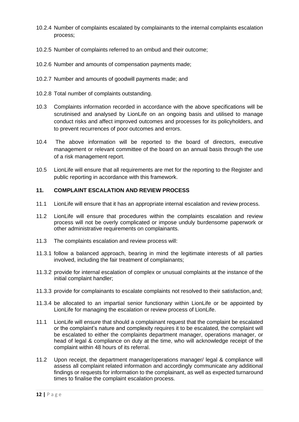- 10.2.4 Number of complaints escalated by complainants to the internal complaints escalation process;
- 10.2.5 Number of complaints referred to an ombud and their outcome;
- 10.2.6 Number and amounts of compensation payments made;
- 10.2.7 Number and amounts of goodwill payments made; and
- 10.2.8 Total number of complaints outstanding.
- 10.3 Complaints information recorded in accordance with the above specifications will be scrutinised and analysed by LionLife on an ongoing basis and utilised to manage conduct risks and affect improved outcomes and processes for its policyholders, and to prevent recurrences of poor outcomes and errors.
- 10.4 The above information will be reported to the board of directors, executive management or relevant committee of the board on an annual basis through the use of a risk management report.
- 10.5 LionLife will ensure that all requirements are met for the reporting to the Register and public reporting in accordance with this framework.

#### <span id="page-12-0"></span>**11. COMPLAINT ESCALATION AND REVIEW PROCESS**

- 11.1 LionLife will ensure that it has an appropriate internal escalation and review process.
- 11.2 LionLife will ensure that procedures within the complaints escalation and review process will not be overly complicated or impose unduly burdensome paperwork or other administrative requirements on complainants.
- 11.3 The complaints escalation and review process will:
- 11.3.1 follow a balanced approach, bearing in mind the legitimate interests of all parties involved, including the fair treatment of complainants;
- 11.3.2 provide for internal escalation of complex or unusual complaints at the instance of the initial complaint handler;
- 11.3.3 provide for complainants to escalate complaints not resolved to their satisfaction,and;
- 11.3.4 be allocated to an impartial senior functionary within LionLife or be appointed by LionLife for managing the escalation or review process of LionLife.
- 11.1 LionLife will ensure that should a complainant request that the complaint be escalated or the complaint's nature and complexity requires it to be escalated, the complaint will be escalated to either the complaints department manager, operations manager, or head of legal & compliance on duty at the time, who will acknowledge receipt of the complaint within 48 hours of its referral.
- 11.2 Upon receipt, the department manager/operations manager/ legal & compliance will assess all complaint related information and accordingly communicate any additional findings or requests for information to the complainant, as well as expected turnaround times to finalise the complaint escalation process.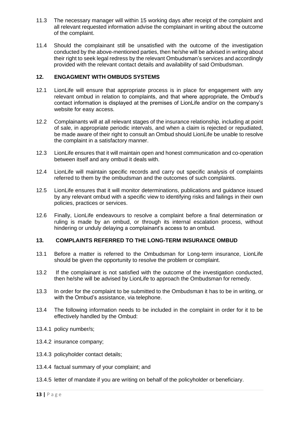- 11.3 The necessary manager will within 15 working days after receipt of the complaint and all relevant requested information advise the complainant in writing about the outcome of the complaint.
- 11.4 Should the complainant still be unsatisfied with the outcome of the investigation conducted by the above-mentioned parties, then he/she will be advised in writing about their right to seek legal redress by the relevant Ombudsman's services and accordingly provided with the relevant contact details and availability of said Ombudsman.

#### <span id="page-13-0"></span>**12. ENGAGMENT WITH OMBUDS SYSTEMS**

- 12.1 LionLife will ensure that appropriate process is in place for engagement with any relevant ombud in relation to complaints, and that where appropriate, the Ombud's contact information is displayed at the premises of LionLife and/or on the company's website for easy access.
- 12.2 Complainants will at all relevant stages of the insurance relationship, including at point of sale, in appropriate periodic intervals, and when a claim is rejected or repudiated, be made aware of their right to consult an Ombud should LionLife be unable to resolve the complaint in a satisfactory manner.
- 12.3 LionLife ensures that it will maintain open and honest communication and co-operation between itself and any ombud it deals with.
- 12.4 LionLife will maintain specific records and carry out specific analysis of complaints referred to them by the ombudsman and the outcomes of such complaints.
- 12.5 LionLife ensures that it will monitor determinations, publications and guidance issued by any relevant ombud with a specific view to identifying risks and failings in their own policies, practices or services.
- 12.6 Finally, LionLife endeavours to resolve a complaint before a final determination or ruling is made by an ombud, or through its internal escalation process, without hindering or unduly delaying a complainant's access to an ombud.

#### <span id="page-13-1"></span>**13. COMPLAINTS REFERRED TO THE LONG-TERM INSURANCE OMBUD**

- 13.1 Before a matter is referred to the Ombudsman for Long-term insurance, LionLife should be given the opportunity to resolve the problem or complaint.
- 13.2 If the complainant is not satisfied with the outcome of the investigation conducted, then he/she will be advised by LionLife to approach the Ombudsman for remedy.
- 13.3 In order for the complaint to be submitted to the Ombudsman it has to be in writing, or with the Ombud's assistance, via telephone.
- 13.4 The following information needs to be included in the complaint in order for it to be effectively handled by the Ombud:
- 13.4.1 policy number/s;
- 13.4.2 insurance company;
- 13.4.3 policyholder contact details;
- 13.4.4 factual summary of your complaint; and
- 13.4.5 letter of mandate if you are writing on behalf of the policyholder or beneficiary.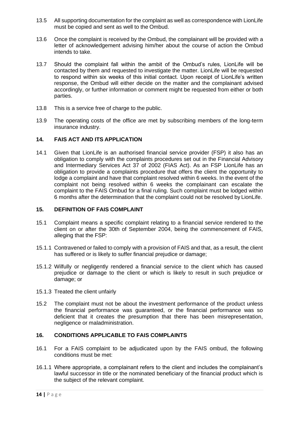- 13.5 All supporting documentation for the complaint as well as correspondence with LionLife must be copied and sent as well to the Ombud.
- 13.6 Once the complaint is received by the Ombud, the complainant will be provided with a letter of acknowledgement advising him/her about the course of action the Ombud intends to take.
- 13.7 Should the complaint fall within the ambit of the Ombud's rules, LionLife will be contacted by them and requested to investigate the matter. LionLife will be requested to respond within six weeks of this initial contact. Upon receipt of LionLife's written response, the Ombud will either decide on the matter and the complainant advised accordingly, or further information or comment might be requested from either or both parties.
- 13.8 This is a service free of charge to the public.
- 13.9 The operating costs of the office are met by subscribing members of the long-term insurance industry.

#### <span id="page-14-0"></span>**14. FAIS ACT AND ITS APPLICATION**

14.1 Given that LionLife is an authorised financial service provider (FSP) it also has an obligation to comply with the complaints procedures set out in the Financial Advisory and Intermediary Services Act 37 of 2002 (FIAS Act). As an FSP LionLife has an obligation to provide a complaints procedure that offers the client the opportunity to lodge a complaint and have that complaint resolved within 6 weeks. In the event of the complaint not being resolved within 6 weeks the complainant can escalate the complaint to the FAIS Ombud for a final ruling. Such complaint must be lodged within 6 months after the determination that the complaint could not be resolved by LionLife.

#### <span id="page-14-1"></span>**15. DEFINITION OF FAIS COMPLAINT**

- 15.1 Complaint means a specific complaint relating to a financial service rendered to the client on or after the 30th of September 2004, being the commencement of FAIS, alleging that the FSP:
- 15.1.1 Contravened or failed to comply with a provision of FAIS and that, as a result, the client has suffered or is likely to suffer financial prejudice or damage;
- 15.1.2 Wilfully or negligently rendered a financial service to the client which has caused prejudice or damage to the client or which is likely to result in such prejudice or damage; or
- 15.1.3 Treated the client unfairly
- 15.2 The complaint must not be about the investment performance of the product unless the financial performance was guaranteed, or the financial performance was so deficient that it creates the presumption that there has been misrepresentation, negligence or maladministration.

#### <span id="page-14-2"></span>**16. CONDITIONS APPLICABLE TO FAIS COMPLAINTS**

- 16.1 For a FAIS complaint to be adjudicated upon by the FAIS ombud, the following conditions must be met:
- 16.1.1 Where appropriate, a complainant refers to the client and includes the complainant's lawful successor in title or the nominated beneficiary of the financial product which is the subject of the relevant complaint.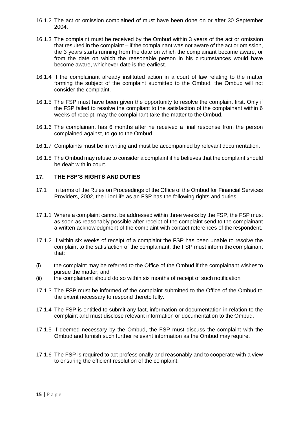- 16.1.2 The act or omission complained of must have been done on or after 30 September 2004.
- 16.1.3 The complaint must be received by the Ombud within 3 years of the act or omission that resulted in the complaint – if the complainant was not aware of the act or omission, the 3 years starts running from the date on which the complainant became aware, or from the date on which the reasonable person in his circumstances would have become aware, whichever date is the earliest.
- 16.1.4 If the complainant already instituted action in a court of law relating to the matter forming the subject of the complaint submitted to the Ombud, the Ombud will not consider the complaint.
- 16.1.5 The FSP must have been given the opportunity to resolve the complaint first. Only if the FSP failed to resolve the compliant to the satisfaction of the complainant within 6 weeks of receipt, may the complainant take the matter to the Ombud.
- 16.1.6 The complainant has 6 months after he received a final response from the person complained against, to go to the Ombud.
- 16.1.7 Complaints must be in writing and must be accompanied by relevant documentation.
- 16.1.8 The Ombud may refuse to consider a complaint if he believes that the complaint should be dealt with in court.

#### <span id="page-15-0"></span>**17. THE FSP'S RIGHTS AND DUTIES**

- 17.1 In terms of the Rules on Proceedings of the Office of the Ombud for Financial Services Providers, 2002, the LionLife as an FSP has the following rights and duties:
- 17.1.1 Where a complaint cannot be addressed within three weeks by the FSP, the FSP must as soon as reasonably possible after receipt of the complaint send to the complainant a written acknowledgment of the complaint with contact references of the respondent.
- 17.1.2 If within six weeks of receipt of a complaint the FSP has been unable to resolve the complaint to the satisfaction of the complainant, the FSP must inform the complainant that:
- (i) the complaint may be referred to the Office of the Ombud if the complainant wishes to pursue the matter; and
- (ii) the complainant should do so within six months of receipt of such notification
- 17.1.3 The FSP must be informed of the complaint submitted to the Office of the Ombud to the extent necessary to respond thereto fully.
- 17.1.4 The FSP is entitled to submit any fact, information or documentation in relation to the complaint and must disclose relevant information or documentation to the Ombud.
- 17.1.5 If deemed necessary by the Ombud, the FSP must discuss the complaint with the Ombud and furnish such further relevant information as the Ombud may require.
- 17.1.6 The FSP is required to act professionally and reasonably and to cooperate with a view to ensuring the efficient resolution of the complaint.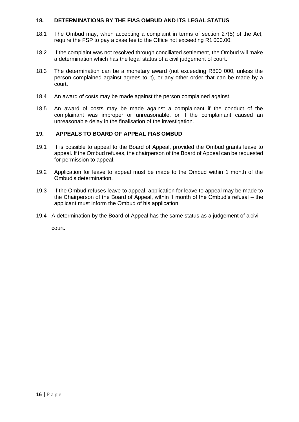#### <span id="page-16-0"></span>**18. DETERMINATIONS BY THE FIAS OMBUD AND ITS LEGAL STATUS**

- 18.1 The Ombud may, when accepting a complaint in terms of section 27(5) of the Act, require the FSP to pay a case fee to the Office not exceeding R1 000.00.
- 18.2 If the complaint was not resolved through conciliated settlement, the Ombud will make a determination which has the legal status of a civil judgement of court.
- 18.3 The determination can be a monetary award (not exceeding R800 000, unless the person complained against agrees to it), or any other order that can be made by a court.
- 18.4 An award of costs may be made against the person complained against.
- 18.5 An award of costs may be made against a complainant if the conduct of the complainant was improper or unreasonable, or if the complainant caused an unreasonable delay in the finalisation of the investigation.

#### <span id="page-16-1"></span>**19. APPEALS TO BOARD OF APPEAL FIAS OMBUD**

- 19.1 It is possible to appeal to the Board of Appeal, provided the Ombud grants leave to appeal. If the Ombud refuses, the chairperson of the Board of Appeal can be requested for permission to appeal.
- 19.2 Application for leave to appeal must be made to the Ombud within 1 month of the Ombud's determination.
- 19.3 If the Ombud refuses leave to appeal, application for leave to appeal may be made to the Chairperson of the Board of Appeal, within 1 month of the Ombud's refusal – the applicant must inform the Ombud of his application.
- 19.4 A determination by the Board of Appeal has the same status as a judgement of a civil

court.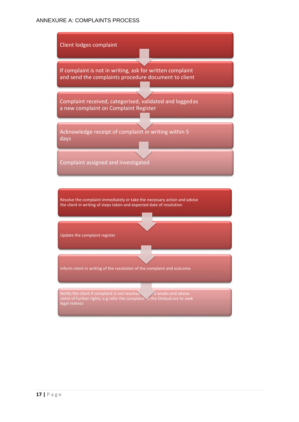#### <span id="page-17-0"></span>ANNEXURE A: COMPLAINTS PROCESS

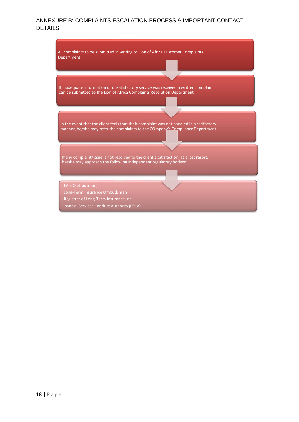#### <span id="page-18-0"></span>ANNEXURE B: COMPLAINTS ESCALATION PROCESS & IMPORTANT CONTACT DETAILS

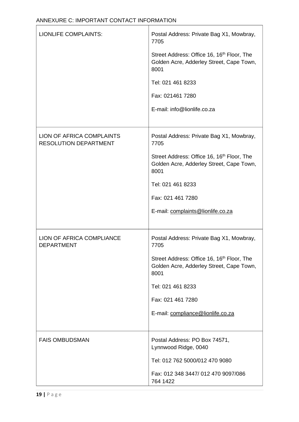<span id="page-19-0"></span>

| <b>LIONLIFE COMPLAINTS:</b>                                      | Postal Address: Private Bag X1, Mowbray,<br>7705<br>Street Address: Office 16, 16 <sup>th</sup> Floor, The<br>Golden Acre, Adderley Street, Cape Town,<br>8001<br>Tel: 021 461 8233<br>Fax: 021461 7280<br>E-mail: info@lionlife.co.za        |
|------------------------------------------------------------------|-----------------------------------------------------------------------------------------------------------------------------------------------------------------------------------------------------------------------------------------------|
| <b>LION OF AFRICA COMPLAINTS</b><br><b>RESOLUTION DEPARTMENT</b> | Postal Address: Private Bag X1, Mowbray,<br>7705<br>Street Address: Office 16, 16 <sup>th</sup> Floor, The<br>Golden Acre, Adderley Street, Cape Town,<br>8001<br>Tel: 021 461 8233<br>Fax: 021 461 7280<br>E-mail: complaints@lionlife.co.za |
| <b>LION OF AFRICA COMPLIANCE</b><br><b>DEPARTMENT</b>            | Postal Address: Private Bag X1, Mowbray,<br>7705<br>Street Address: Office 16, 16 <sup>th</sup> Floor, The<br>Golden Acre, Adderley Street, Cape Town,<br>8001<br>Tel: 021 461 8233<br>Fax: 021 461 7280<br>E-mail: compliance@lionlife.co.za |
| <b>FAIS OMBUDSMAN</b>                                            | Postal Address: PO Box 74571,<br>Lynnwood Ridge, 0040<br>Tel: 012 762 5000/012 470 9080<br>Fax: 012 348 3447/ 012 470 9097/086<br>764 1422                                                                                                    |